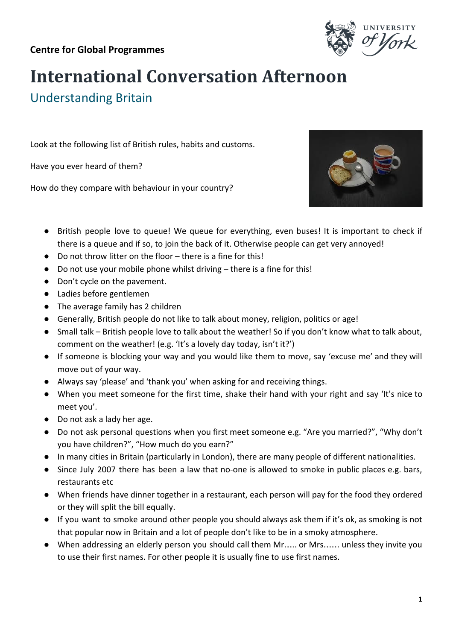

## **International Conversation Afternoon**

Understanding Britain

Look at the following list of British rules, habits and customs.

Have you ever heard of them?

How do they compare with behaviour in your country?



- British people love to queue! We queue for everything, even buses! It is important to check if there is a queue and if so, to join the back of it. Otherwise people can get very annoyed!
- Do not throw litter on the floor there is a fine for this!
- Do not use your mobile phone whilst driving there is a fine for this!
- Don't cycle on the pavement.
- Ladies before gentlemen
- The average family has 2 children
- Generally, British people do not like to talk about money, religion, politics or age!
- Small talk British people love to talk about the weather! So if you don't know what to talk about, comment on the weather! (e.g. 'It's a lovely day today, isn't it?')
- If someone is blocking your way and you would like them to move, say 'excuse me' and they will move out of your way.
- Always say 'please' and 'thank you' when asking for and receiving things.
- When you meet someone for the first time, shake their hand with your right and say 'It's nice to meet you'.
- Do not ask a lady her age.
- Do not ask personal questions when you first meet someone e.g. "Are you married?", "Why don't you have children?", "How much do you earn?"
- In many cities in Britain (particularly in London), there are many people of different nationalities.
- Since July 2007 there has been a law that no-one is allowed to smoke in public places e.g. bars, restaurants etc
- When friends have dinner together in a restaurant, each person will pay for the food they ordered or they will split the bill equally.
- If you want to smoke around other people you should always ask them if it's ok, as smoking is not that popular now in Britain and a lot of people don't like to be in a smoky atmosphere.
- When addressing an elderly person you should call them Mr….. or Mrs…… unless they invite you to use their first names. For other people it is usually fine to use first names.